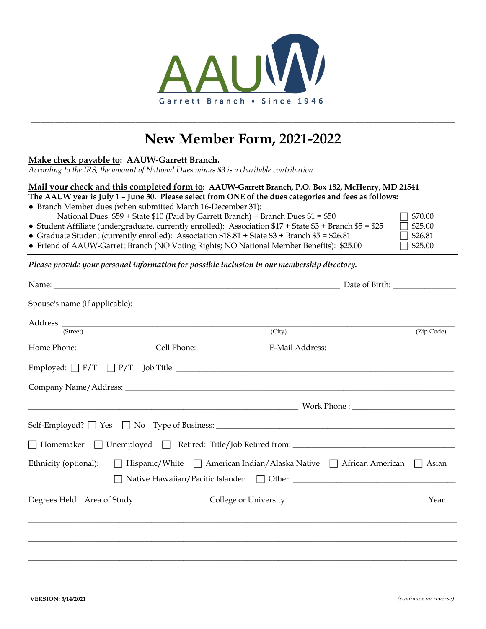

# **New Member Form, 2021-2022**

\_\_\_\_\_\_\_\_\_\_\_\_\_\_\_\_\_\_\_\_\_\_\_\_\_\_\_\_\_\_\_\_\_\_\_\_\_\_\_\_\_\_\_\_\_\_\_\_\_\_\_\_\_\_\_\_\_\_\_\_\_\_\_\_\_\_\_\_\_\_\_\_\_\_\_\_\_\_\_\_\_\_\_\_\_\_\_\_\_

### **Make check payable to: AAUW-Garrett Branch.**

*According to the IRS, the amount of National Dues minus \$3 is a charitable contribution.*

# **Mail your check and this completed form to: AAUW-Garrett Branch, P.O. Box 182, McHenry, MD 21541**

|  |  |  |  |  | The AAUW year is July 1 - June 30. Please select from ONE of the dues categories and fees as follows: |  |  |  |  |  |
|--|--|--|--|--|-------------------------------------------------------------------------------------------------------|--|--|--|--|--|
|--|--|--|--|--|-------------------------------------------------------------------------------------------------------|--|--|--|--|--|

- Branch Member dues (when submitted March 16-December 31):
- National Dues:  $$59 + State $10$  (Paid by Garrett Branch) + Branch Dues  $$1 = $50$   $$70.00$
- Student Affiliate (undergraduate, currently enrolled): Association  $$17 + State $3 + Branch $5 = $25$  [] \$25.00 • Graduate Student (currently enrolled): Association  $$18.81 + State $3 + Branch $5 = $26.81$   $38.81 + Set $3 + Branch $5 = $26.81$
- Friend of AAUW-Garrett Branch (NO Voting Rights; NO National Member Benefits): \$25.00 <sup>\$25.00</sup>

*Please provide your personal information for possible inclusion in our membership directory.* 

| (Street)                   |                              | (City) |                                                                                                                                                                                                                                      | (Zip Code) |  |  |
|----------------------------|------------------------------|--------|--------------------------------------------------------------------------------------------------------------------------------------------------------------------------------------------------------------------------------------|------------|--|--|
|                            |                              |        | Home Phone: Cell Phone: Cell Phone: Cell Phone: Cell Phone: Cell Phone: Cell Phone: Cell Phone: Cell Phone: Cell Phone: Cell Phone: Cell Phone: Cell Phone: Cell Phone: Cell Phone: Cell Phone: Cell Phone: Cell Phone: Cell P       |            |  |  |
|                            |                              |        |                                                                                                                                                                                                                                      |            |  |  |
|                            |                              |        |                                                                                                                                                                                                                                      |            |  |  |
|                            |                              |        | <u>Nork Phone: Communication of the Communication of the Communication of the Communication of the Communication of the Communication of the Communication of the Communication of the Communication of the Communication of the</u> |            |  |  |
|                            |                              |        |                                                                                                                                                                                                                                      |            |  |  |
|                            |                              |        |                                                                                                                                                                                                                                      |            |  |  |
| Ethnicity (optional):      |                              |        | $\Box$ Hispanic/White $\Box$ American Indian/Alaska Native $\Box$ African American                                                                                                                                                   | Asian      |  |  |
|                            |                              |        |                                                                                                                                                                                                                                      |            |  |  |
| Degrees Held Area of Study | <b>College or University</b> |        |                                                                                                                                                                                                                                      | Year       |  |  |
|                            |                              |        |                                                                                                                                                                                                                                      |            |  |  |
|                            |                              |        |                                                                                                                                                                                                                                      |            |  |  |
|                            |                              |        |                                                                                                                                                                                                                                      |            |  |  |
|                            |                              |        |                                                                                                                                                                                                                                      |            |  |  |
|                            |                              |        |                                                                                                                                                                                                                                      |            |  |  |